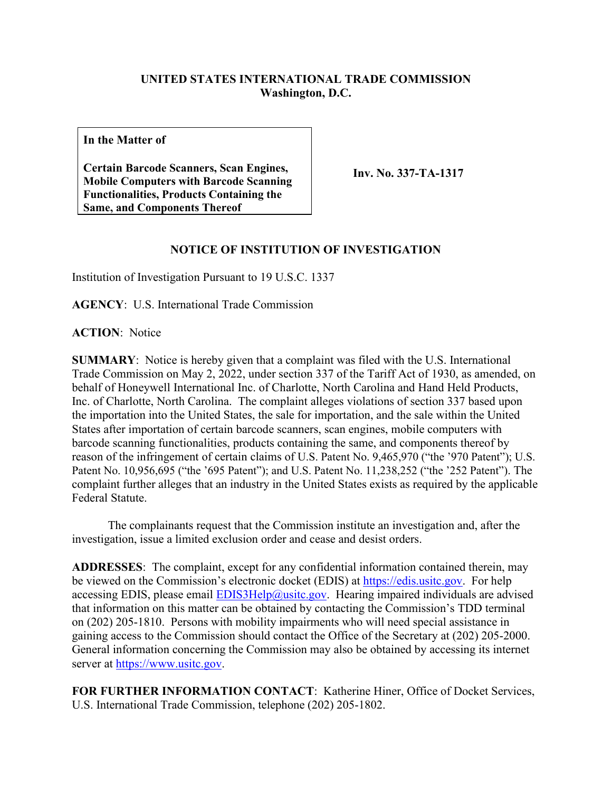## **UNITED STATES INTERNATIONAL TRADE COMMISSION Washington, D.C.**

**In the Matter of**

**Certain Barcode Scanners, Scan Engines, Mobile Computers with Barcode Scanning Functionalities, Products Containing the Same, and Components Thereof** 

**Inv. No. 337-TA-1317**

### **NOTICE OF INSTITUTION OF INVESTIGATION**

Institution of Investigation Pursuant to 19 U.S.C. 1337

**AGENCY**: U.S. International Trade Commission

**ACTION**: Notice

**SUMMARY**: Notice is hereby given that a complaint was filed with the U.S. International Trade Commission on May 2, 2022, under section 337 of the Tariff Act of 1930, as amended, on behalf of Honeywell International Inc. of Charlotte, North Carolina and Hand Held Products, Inc. of Charlotte, North Carolina. The complaint alleges violations of section 337 based upon the importation into the United States, the sale for importation, and the sale within the United States after importation of certain barcode scanners, scan engines, mobile computers with barcode scanning functionalities, products containing the same, and components thereof by reason of the infringement of certain claims of U.S. Patent No. 9,465,970 ("the '970 Patent"); U.S. Patent No. 10,956,695 ("the '695 Patent"); and U.S. Patent No. 11,238,252 ("the '252 Patent"). The complaint further alleges that an industry in the United States exists as required by the applicable Federal Statute.

 The complainants request that the Commission institute an investigation and, after the investigation, issue a limited exclusion order and cease and desist orders.

**ADDRESSES**: The complaint, except for any confidential information contained therein, may be viewed on the Commission's electronic docket (EDIS) at [https://edis.usitc.gov.](https://edis.usitc.gov/) For help accessing EDIS, please email  $EDIS3Help@usite.gov$ . Hearing impaired individuals are advised that information on this matter can be obtained by contacting the Commission's TDD terminal on (202) 205-1810. Persons with mobility impairments who will need special assistance in gaining access to the Commission should contact the Office of the Secretary at (202) 205-2000. General information concerning the Commission may also be obtained by accessing its internet server at [https://www.usitc.gov.](https://www.usitc.gov/)

**FOR FURTHER INFORMATION CONTACT**: Katherine Hiner, Office of Docket Services, U.S. International Trade Commission, telephone (202) 205-1802.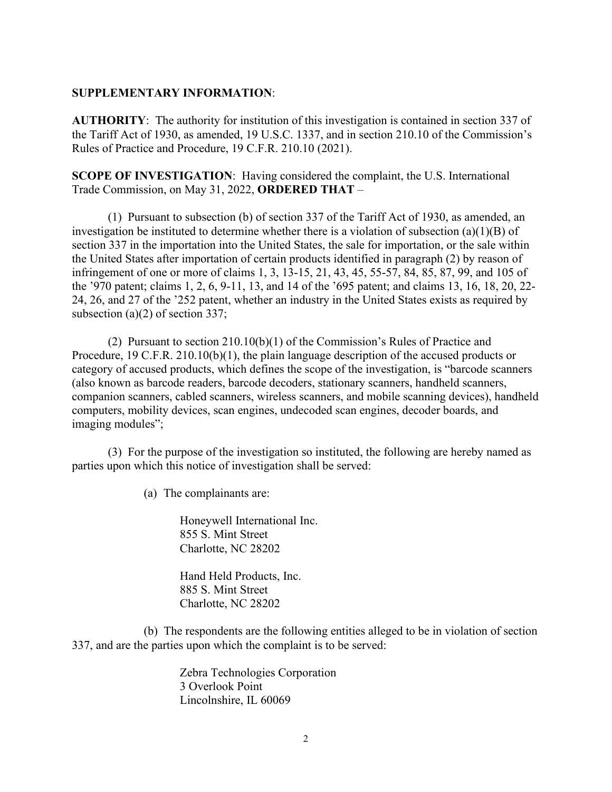#### **SUPPLEMENTARY INFORMATION**:

**AUTHORITY**: The authority for institution of this investigation is contained in section 337 of the Tariff Act of 1930, as amended, 19 U.S.C. 1337, and in section 210.10 of the Commission's Rules of Practice and Procedure, 19 C.F.R. 210.10 (2021).

**SCOPE OF INVESTIGATION**: Having considered the complaint, the U.S. International Trade Commission, on May 31, 2022, **ORDERED THAT** –

(1) Pursuant to subsection (b) of section 337 of the Tariff Act of 1930, as amended, an investigation be instituted to determine whether there is a violation of subsection (a)(1)(B) of section 337 in the importation into the United States, the sale for importation, or the sale within the United States after importation of certain products identified in paragraph (2) by reason of infringement of one or more of claims 1, 3, 13-15, 21, 43, 45, 55-57, 84, 85, 87, 99, and 105 of the '970 patent; claims 1, 2, 6, 9-11, 13, and 14 of the '695 patent; and claims 13, 16, 18, 20, 22- 24, 26, and 27 of the '252 patent, whether an industry in the United States exists as required by subsection (a)(2) of section 337;

(2) Pursuant to section 210.10(b)(1) of the Commission's Rules of Practice and Procedure, 19 C.F.R. 210.10(b)(1), the plain language description of the accused products or category of accused products, which defines the scope of the investigation, is "barcode scanners (also known as barcode readers, barcode decoders, stationary scanners, handheld scanners, companion scanners, cabled scanners, wireless scanners, and mobile scanning devices), handheld computers, mobility devices, scan engines, undecoded scan engines, decoder boards, and imaging modules";

(3) For the purpose of the investigation so instituted, the following are hereby named as parties upon which this notice of investigation shall be served:

(a) The complainants are:

Honeywell International Inc. 855 S. Mint Street Charlotte, NC 28202

Hand Held Products, Inc. 885 S. Mint Street Charlotte, NC 28202

(b) The respondents are the following entities alleged to be in violation of section 337, and are the parties upon which the complaint is to be served:

> Zebra Technologies Corporation 3 Overlook Point Lincolnshire, IL 60069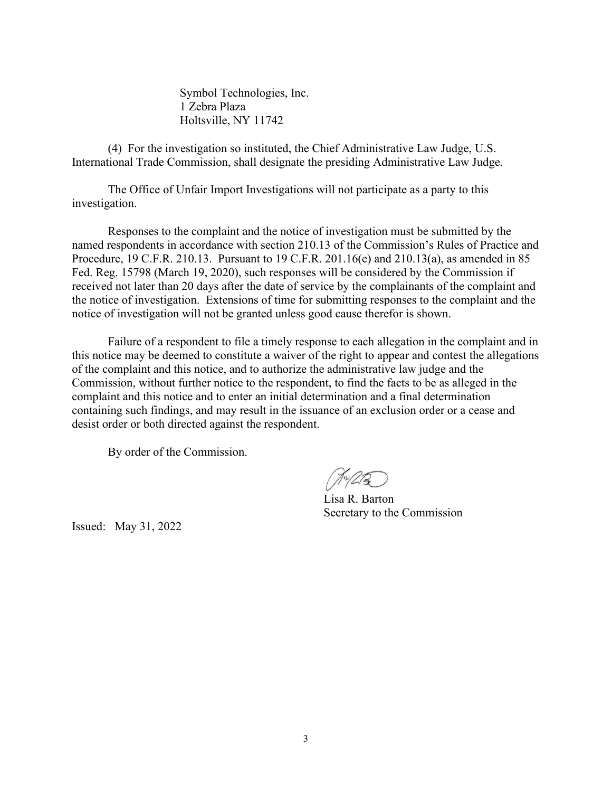Symbol Technologies, Inc. 1 Zebra Plaza Holtsville, NY 11742

(4) For the investigation so instituted, the Chief Administrative Law Judge, U.S. International Trade Commission, shall designate the presiding Administrative Law Judge.

The Office of Unfair Import Investigations will not participate as a party to this investigation.

Responses to the complaint and the notice of investigation must be submitted by the named respondents in accordance with section 210.13 of the Commission's Rules of Practice and Procedure, 19 C.F.R. 210.13. Pursuant to 19 C.F.R. 201.16(e) and 210.13(a), as amended in 85 Fed. Reg. 15798 (March 19, 2020), such responses will be considered by the Commission if received not later than 20 days after the date of service by the complainants of the complaint and the notice of investigation. Extensions of time for submitting responses to the complaint and the notice of investigation will not be granted unless good cause therefor is shown.

Failure of a respondent to file a timely response to each allegation in the complaint and in this notice may be deemed to constitute a waiver of the right to appear and contest the allegations of the complaint and this notice, and to authorize the administrative law judge and the Commission, without further notice to the respondent, to find the facts to be as alleged in the complaint and this notice and to enter an initial determination and a final determination containing such findings, and may result in the issuance of an exclusion order or a cease and desist order or both directed against the respondent.

By order of the Commission.

 $10^{14}$ 

Lisa R. Barton Secretary to the Commission

Issued: May 31, 2022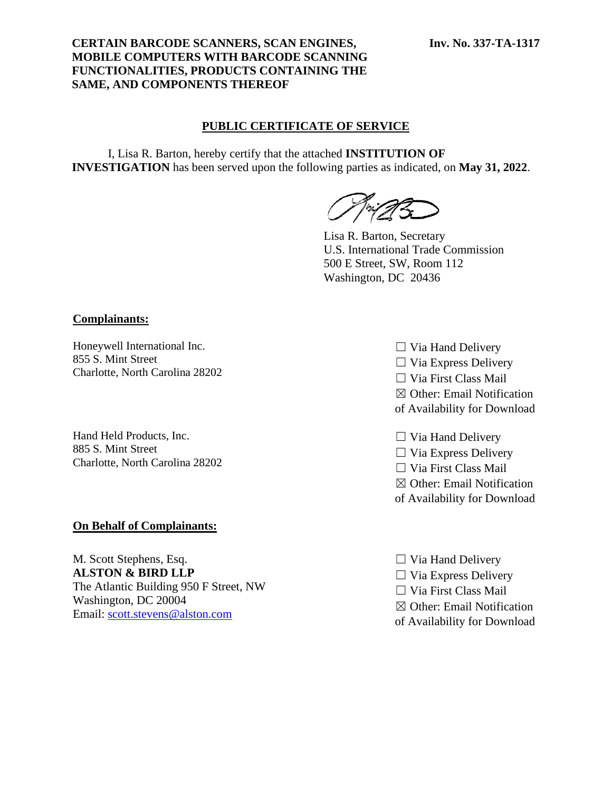### **CERTAIN BARCODE SCANNERS, SCAN ENGINES, MOBILE COMPUTERS WITH BARCODE SCANNING FUNCTIONALITIES, PRODUCTS CONTAINING THE SAME, AND COMPONENTS THEREOF**

### **PUBLIC CERTIFICATE OF SERVICE**

I, Lisa R. Barton, hereby certify that the attached **INSTITUTION OF INVESTIGATION** has been served upon the following parties as indicated, on **May 31, 2022**.

Lisa R. Barton, Secretary U.S. International Trade Commission 500 E Street, SW, Room 112 Washington, DC 20436

#### **Complainants:**

Honeywell International Inc. 855 S. Mint Street Charlotte, North Carolina 28202

Hand Held Products, Inc. 885 S. Mint Street Charlotte, North Carolina 28202

#### **On Behalf of Complainants:**

M. Scott Stephens, Esq. **ALSTON & BIRD LLP** The Atlantic Building 950 F Street, NW Washington, DC 20004 Email: [scott.stevens@alston.com](mailto:scott.stevens@alston.com)

- $\Box$  Via Hand Delivery  $\Box$  Via Express Delivery ☐ Via First Class Mail ☒ Other: Email Notification
- of Availability for Download
- $\Box$  Via Hand Delivery
- $\Box$  Via Express Delivery
- ☐ Via First Class Mail
- ☒ Other: Email Notification
- of Availability for Download
- $\Box$  Via Hand Delivery
- $\Box$  Via Express Delivery
- ☐ Via First Class Mail
- ☒ Other: Email Notification
- of Availability for Download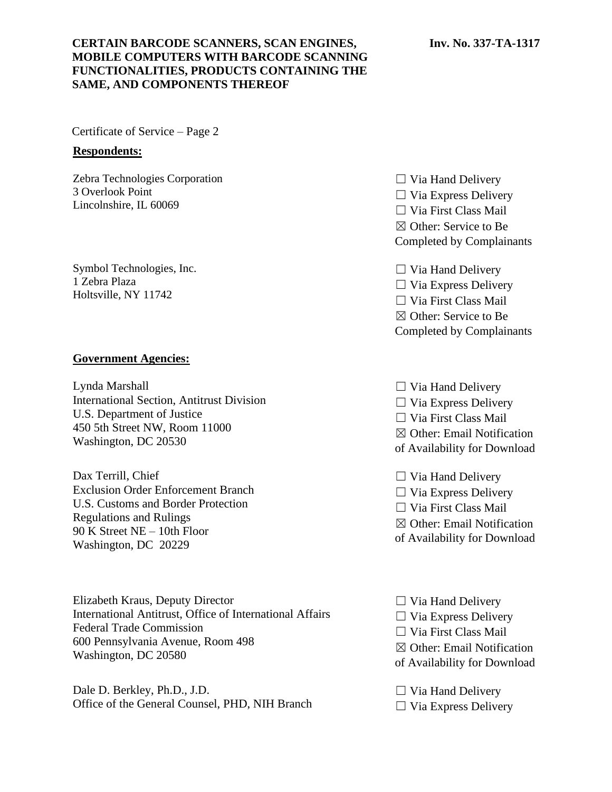## **CERTAIN BARCODE SCANNERS, SCAN ENGINES, MOBILE COMPUTERS WITH BARCODE SCANNING FUNCTIONALITIES, PRODUCTS CONTAINING THE SAME, AND COMPONENTS THEREOF**

Certificate of Service – Page 2

#### **Respondents:**

Zebra Technologies Corporation 3 Overlook Point Lincolnshire, IL 60069

Symbol Technologies, Inc. 1 Zebra Plaza Holtsville, NY 11742

### **Government Agencies:**

Lynda Marshall International Section, Antitrust Division U.S. Department of Justice 450 5th Street NW, Room 11000 Washington, DC 20530

Dax Terrill, Chief Exclusion Order Enforcement Branch U.S. Customs and Border Protection Regulations and Rulings 90 K Street NE – 10th Floor Washington, DC 20229

Elizabeth Kraus, Deputy Director International Antitrust, Office of International Affairs Federal Trade Commission 600 Pennsylvania Avenue, Room 498 Washington, DC 20580

Dale D. Berkley, Ph.D., J.D. Office of the General Counsel, PHD, NIH Branch

 $\Box$  Via Hand Delivery  $\Box$  Via Express Delivery ☐ Via First Class Mail ☒ Other: Service to Be Completed by Complainants

- $\Box$  Via Hand Delivery  $\Box$  Via Express Delivery ☐ Via First Class Mail ☒ Other: Service to Be Completed by Complainants
- $\Box$  Via Hand Delivery  $\Box$  Via Express Delivery ☐ Via First Class Mail
- ☒ Other: Email Notification
- of Availability for Download
- $\Box$  Via Hand Delivery  $\Box$  Via Express Delivery ☐ Via First Class Mail ☒ Other: Email Notification of Availability for Download
- $\Box$  Via Hand Delivery  $\Box$  Via Express Delivery ☐ Via First Class Mail ☒ Other: Email Notification of Availability for Download
- $\Box$  Via Hand Delivery  $\Box$  Via Express Delivery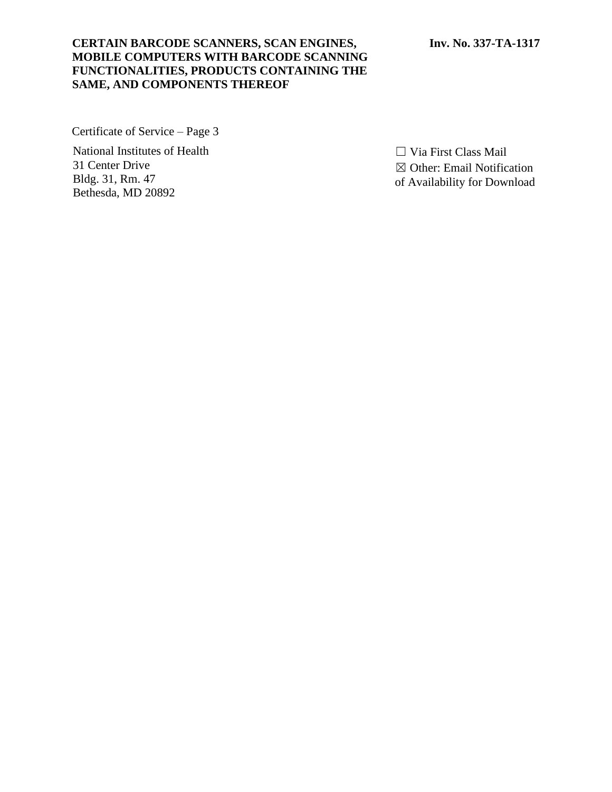### **CERTAIN BARCODE SCANNERS, SCAN ENGINES, MOBILE COMPUTERS WITH BARCODE SCANNING FUNCTIONALITIES, PRODUCTS CONTAINING THE SAME, AND COMPONENTS THEREOF**

Certificate of Service – Page 3

National Institutes of Health 31 Center Drive Bldg. 31, Rm. 47 Bethesda, MD 20892

☐ Via First Class Mail ☒ Other: Email Notification of Availability for Download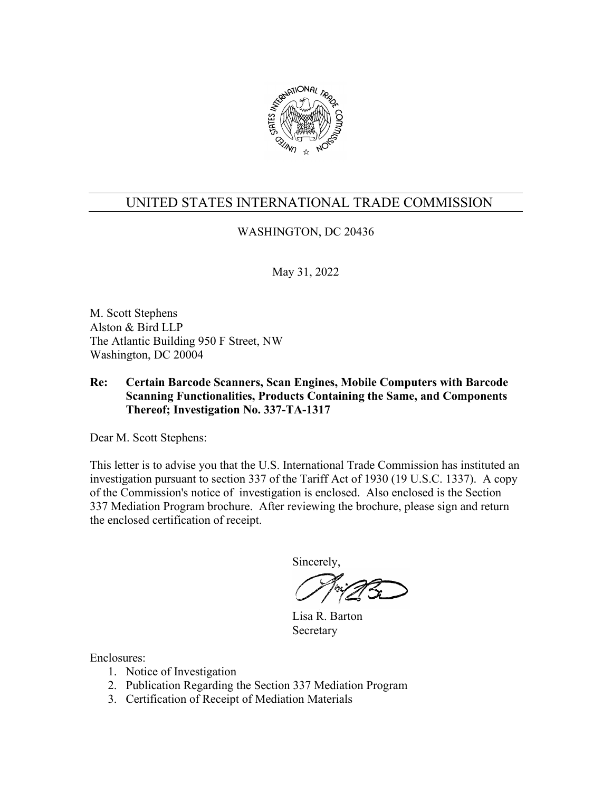

# WASHINGTON, DC 20436

May 31, 2022

M. Scott Stephens Alston & Bird LLP The Atlantic Building 950 F Street, NW Washington, DC 20004

# **Re: Certain Barcode Scanners, Scan Engines, Mobile Computers with Barcode Scanning Functionalities, Products Containing the Same, and Components Thereof; Investigation No. 337-TA-1317**

Dear M. Scott Stephens:

This letter is to advise you that the U.S. International Trade Commission has instituted an investigation pursuant to section 337 of the Tariff Act of 1930 (19 U.S.C. 1337). A copy of the Commission's notice of investigation is enclosed. Also enclosed is the Section 337 Mediation Program brochure. After reviewing the brochure, please sign and return the enclosed certification of receipt.

Sincerely,

 Lisa R. Barton Secretary

- 1. Notice of Investigation
- 2. Publication Regarding the Section 337 Mediation Program
- 3. Certification of Receipt of Mediation Materials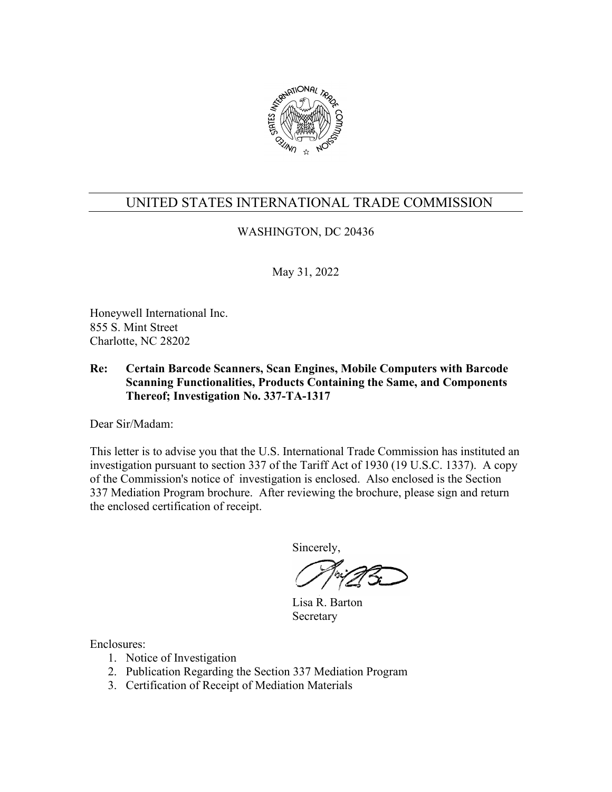

# WASHINGTON, DC 20436

May 31, 2022

Honeywell International Inc. 855 S. Mint Street Charlotte, NC 28202

### **Re: Certain Barcode Scanners, Scan Engines, Mobile Computers with Barcode Scanning Functionalities, Products Containing the Same, and Components Thereof; Investigation No. 337-TA-1317**

Dear Sir/Madam:

This letter is to advise you that the U.S. International Trade Commission has instituted an investigation pursuant to section 337 of the Tariff Act of 1930 (19 U.S.C. 1337). A copy of the Commission's notice of investigation is enclosed. Also enclosed is the Section 337 Mediation Program brochure. After reviewing the brochure, please sign and return the enclosed certification of receipt.

Sincerely,

 Lisa R. Barton Secretary

- 1. Notice of Investigation
- 2. Publication Regarding the Section 337 Mediation Program
- 3. Certification of Receipt of Mediation Materials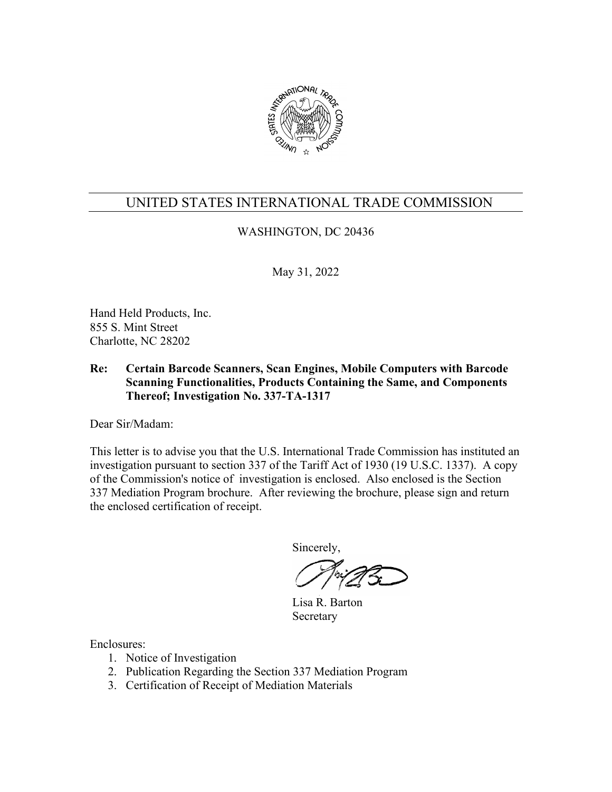

# WASHINGTON, DC 20436

May 31, 2022

Hand Held Products, Inc. 855 S. Mint Street Charlotte, NC 28202

### **Re: Certain Barcode Scanners, Scan Engines, Mobile Computers with Barcode Scanning Functionalities, Products Containing the Same, and Components Thereof; Investigation No. 337-TA-1317**

Dear Sir/Madam:

This letter is to advise you that the U.S. International Trade Commission has instituted an investigation pursuant to section 337 of the Tariff Act of 1930 (19 U.S.C. 1337). A copy of the Commission's notice of investigation is enclosed. Also enclosed is the Section 337 Mediation Program brochure. After reviewing the brochure, please sign and return the enclosed certification of receipt.

Sincerely,

 Lisa R. Barton Secretary

- 1. Notice of Investigation
- 2. Publication Regarding the Section 337 Mediation Program
- 3. Certification of Receipt of Mediation Materials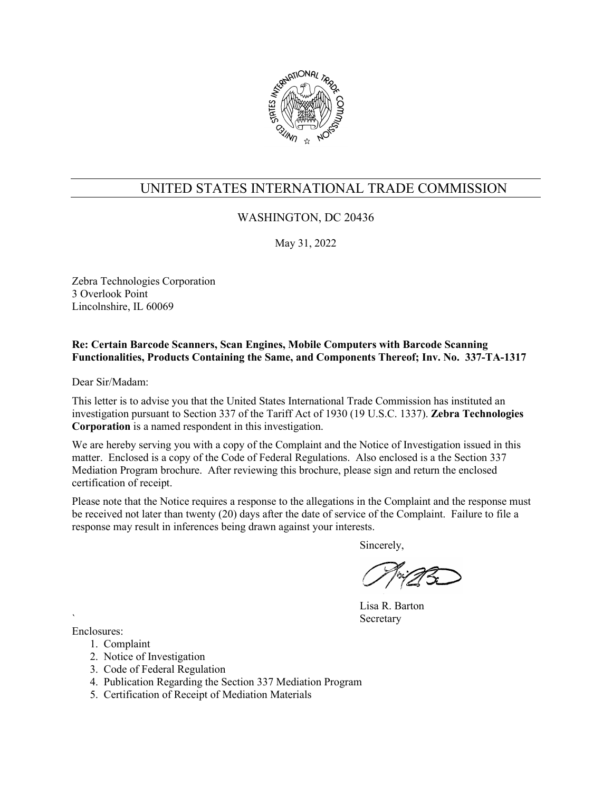

## WASHINGTON, DC 20436

May 31, 2022

Zebra Technologies Corporation 3 Overlook Point Lincolnshire, IL 60069

#### **Re: Certain Barcode Scanners, Scan Engines, Mobile Computers with Barcode Scanning Functionalities, Products Containing the Same, and Components Thereof; Inv. No. 337-TA-1317**

Dear Sir/Madam:

This letter is to advise you that the United States International Trade Commission has instituted an investigation pursuant to Section 337 of the Tariff Act of 1930 (19 U.S.C. 1337). **Zebra Technologies Corporation** is a named respondent in this investigation.

We are hereby serving you with a copy of the Complaint and the Notice of Investigation issued in this matter. Enclosed is a copy of the Code of Federal Regulations. Also enclosed is a the Section 337 Mediation Program brochure. After reviewing this brochure, please sign and return the enclosed certification of receipt.

Please note that the Notice requires a response to the allegations in the Complaint and the response must be received not later than twenty (20) days after the date of service of the Complaint. Failure to file a response may result in inferences being drawn against your interests.

Sincerely,

Lisa R. Barton **Secretary** 

- 1. Complaint
- 2. Notice of Investigation
- 3. Code of Federal Regulation
- 4. Publication Regarding the Section 337 Mediation Program
- 5. Certification of Receipt of Mediation Materials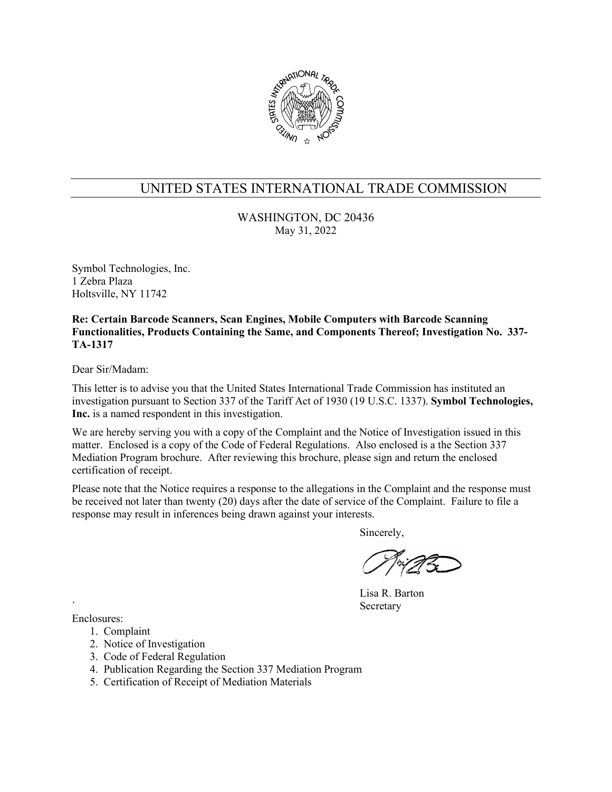

WASHINGTON, DC 20436 May 31, 2022

Symbol Technologies, Inc. 1 Zebra Plaza Holtsville, NY 11742

**Re: Certain Barcode Scanners, Scan Engines, Mobile Computers with Barcode Scanning Functionalities, Products Containing the Same, and Components Thereof; Investigation No. 337- TA-1317**

Dear Sir/Madam:

This letter is to advise you that the United States International Trade Commission has instituted an investigation pursuant to Section 337 of the Tariff Act of 1930 (19 U.S.C. 1337). **Symbol Technologies, Inc.** is a named respondent in this investigation.

We are hereby serving you with a copy of the Complaint and the Notice of Investigation issued in this matter. Enclosed is a copy of the Code of Federal Regulations. Also enclosed is a the Section 337 Mediation Program brochure. After reviewing this brochure, please sign and return the enclosed certification of receipt.

Please note that the Notice requires a response to the allegations in the Complaint and the response must be received not later than twenty (20) days after the date of service of the Complaint. Failure to file a response may result in inferences being drawn against your interests.

Sincerely,

Lisa R. Barton **Secretary** 

- 1. Complaint
- 2. Notice of Investigation
- 3. Code of Federal Regulation
- 4. Publication Regarding the Section 337 Mediation Program
- 5. Certification of Receipt of Mediation Materials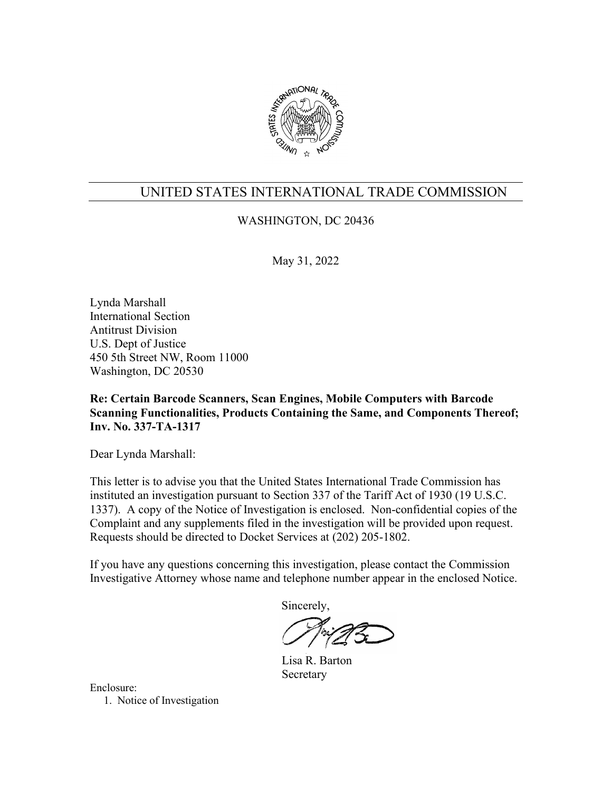

WASHINGTON, DC 20436

May 31, 2022

Lynda Marshall International Section Antitrust Division U.S. Dept of Justice 450 5th Street NW, Room 11000 Washington, DC 20530

**Re: Certain Barcode Scanners, Scan Engines, Mobile Computers with Barcode Scanning Functionalities, Products Containing the Same, and Components Thereof; Inv. No. 337-TA-1317**

Dear Lynda Marshall:

This letter is to advise you that the United States International Trade Commission has instituted an investigation pursuant to Section 337 of the Tariff Act of 1930 (19 U.S.C. 1337). A copy of the Notice of Investigation is enclosed. Non-confidential copies of the Complaint and any supplements filed in the investigation will be provided upon request. Requests should be directed to Docket Services at (202) 205-1802.

If you have any questions concerning this investigation, please contact the Commission Investigative Attorney whose name and telephone number appear in the enclosed Notice.

Sincerely,

 Lisa R. Barton Secretary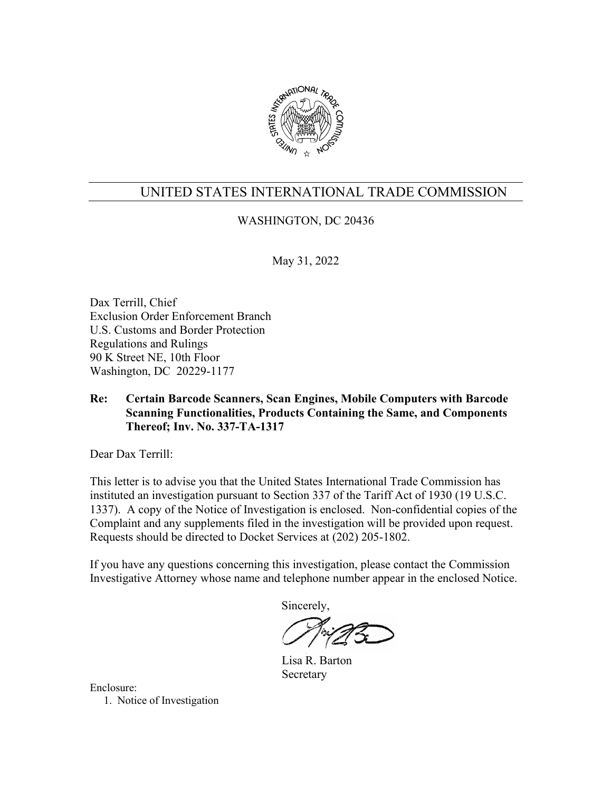

# WASHINGTON, DC 20436

May 31, 2022

Dax Terrill, Chief Exclusion Order Enforcement Branch U.S. Customs and Border Protection Regulations and Rulings 90 K Street NE, 10th Floor Washington, DC 20229-1177

## **Re: Certain Barcode Scanners, Scan Engines, Mobile Computers with Barcode Scanning Functionalities, Products Containing the Same, and Components Thereof; Inv. No. 337-TA-1317**

Dear Dax Terrill:

This letter is to advise you that the United States International Trade Commission has instituted an investigation pursuant to Section 337 of the Tariff Act of 1930 (19 U.S.C. 1337). A copy of the Notice of Investigation is enclosed. Non-confidential copies of the Complaint and any supplements filed in the investigation will be provided upon request. Requests should be directed to Docket Services at (202) 205-1802.

If you have any questions concerning this investigation, please contact the Commission Investigative Attorney whose name and telephone number appear in the enclosed Notice.

Sincerely,

 Lisa R. Barton Secretary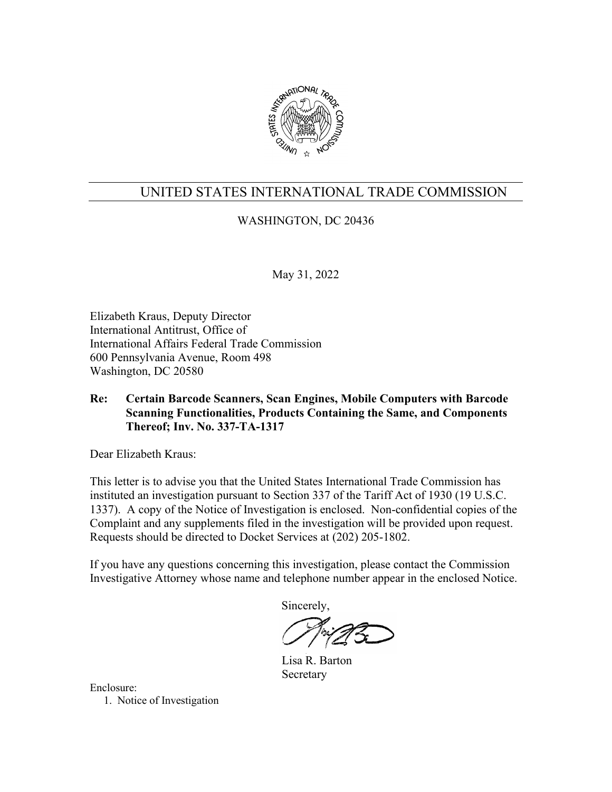

# WASHINGTON, DC 20436

May 31, 2022

Elizabeth Kraus, Deputy Director International Antitrust, Office of International Affairs Federal Trade Commission 600 Pennsylvania Avenue, Room 498 Washington, DC 20580

## **Re: Certain Barcode Scanners, Scan Engines, Mobile Computers with Barcode Scanning Functionalities, Products Containing the Same, and Components Thereof; Inv. No. 337-TA-1317**

Dear Elizabeth Kraus:

This letter is to advise you that the United States International Trade Commission has instituted an investigation pursuant to Section 337 of the Tariff Act of 1930 (19 U.S.C. 1337). A copy of the Notice of Investigation is enclosed. Non-confidential copies of the Complaint and any supplements filed in the investigation will be provided upon request. Requests should be directed to Docket Services at (202) 205-1802.

If you have any questions concerning this investigation, please contact the Commission Investigative Attorney whose name and telephone number appear in the enclosed Notice.

Sincerely,

 Lisa R. Barton Secretary